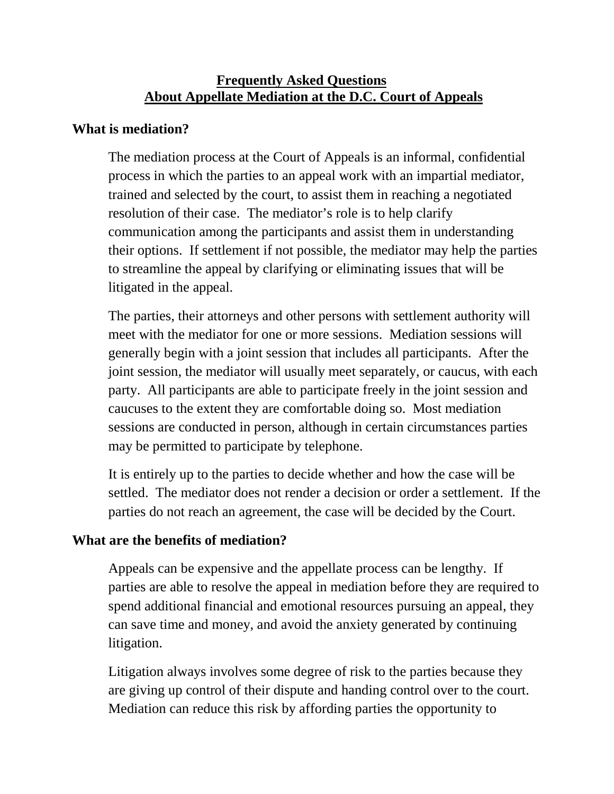### **Frequently Asked Questions About Appellate Mediation at the D.C. Court of Appeals**

#### **What is mediation?**

The mediation process at the Court of Appeals is an informal, confidential process in which the parties to an appeal work with an impartial mediator, trained and selected by the court, to assist them in reaching a negotiated resolution of their case. The mediator's role is to help clarify communication among the participants and assist them in understanding their options. If settlement if not possible, the mediator may help the parties to streamline the appeal by clarifying or eliminating issues that will be litigated in the appeal.

The parties, their attorneys and other persons with settlement authority will meet with the mediator for one or more sessions. Mediation sessions will generally begin with a joint session that includes all participants. After the joint session, the mediator will usually meet separately, or caucus, with each party. All participants are able to participate freely in the joint session and caucuses to the extent they are comfortable doing so. Most mediation sessions are conducted in person, although in certain circumstances parties may be permitted to participate by telephone.

It is entirely up to the parties to decide whether and how the case will be settled. The mediator does not render a decision or order a settlement. If the parties do not reach an agreement, the case will be decided by the Court.

### **What are the benefits of mediation?**

Appeals can be expensive and the appellate process can be lengthy. If parties are able to resolve the appeal in mediation before they are required to spend additional financial and emotional resources pursuing an appeal, they can save time and money, and avoid the anxiety generated by continuing litigation.

Litigation always involves some degree of risk to the parties because they are giving up control of their dispute and handing control over to the court. Mediation can reduce this risk by affording parties the opportunity to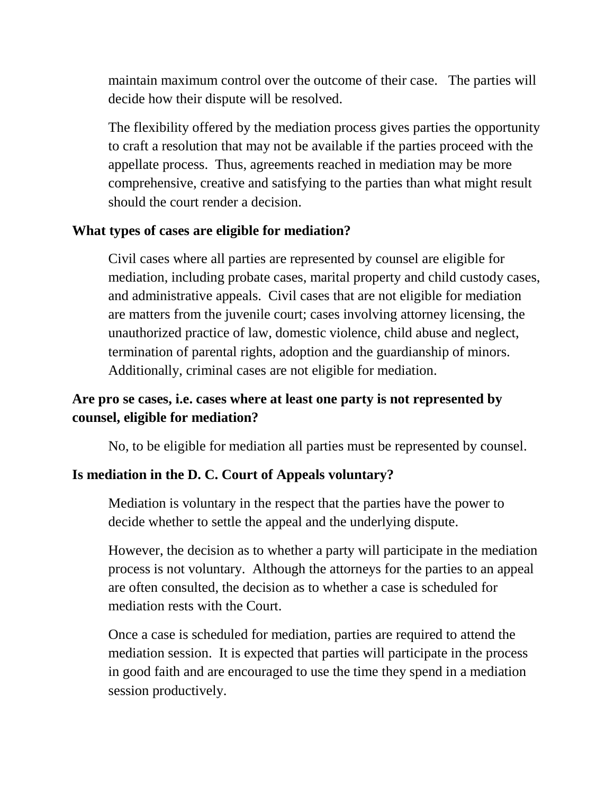maintain maximum control over the outcome of their case. The parties will decide how their dispute will be resolved.

The flexibility offered by the mediation process gives parties the opportunity to craft a resolution that may not be available if the parties proceed with the appellate process. Thus, agreements reached in mediation may be more comprehensive, creative and satisfying to the parties than what might result should the court render a decision.

## **What types of cases are eligible for mediation?**

Civil cases where all parties are represented by counsel are eligible for mediation, including probate cases, marital property and child custody cases, and administrative appeals. Civil cases that are not eligible for mediation are matters from the juvenile court; cases involving attorney licensing, the unauthorized practice of law, domestic violence, child abuse and neglect, termination of parental rights, adoption and the guardianship of minors. Additionally, criminal cases are not eligible for mediation.

# **Are pro se cases, i.e. cases where at least one party is not represented by counsel, eligible for mediation?**

No, to be eligible for mediation all parties must be represented by counsel.

## **Is mediation in the D. C. Court of Appeals voluntary?**

Mediation is voluntary in the respect that the parties have the power to decide whether to settle the appeal and the underlying dispute.

However, the decision as to whether a party will participate in the mediation process is not voluntary. Although the attorneys for the parties to an appeal are often consulted, the decision as to whether a case is scheduled for mediation rests with the Court.

Once a case is scheduled for mediation, parties are required to attend the mediation session. It is expected that parties will participate in the process in good faith and are encouraged to use the time they spend in a mediation session productively.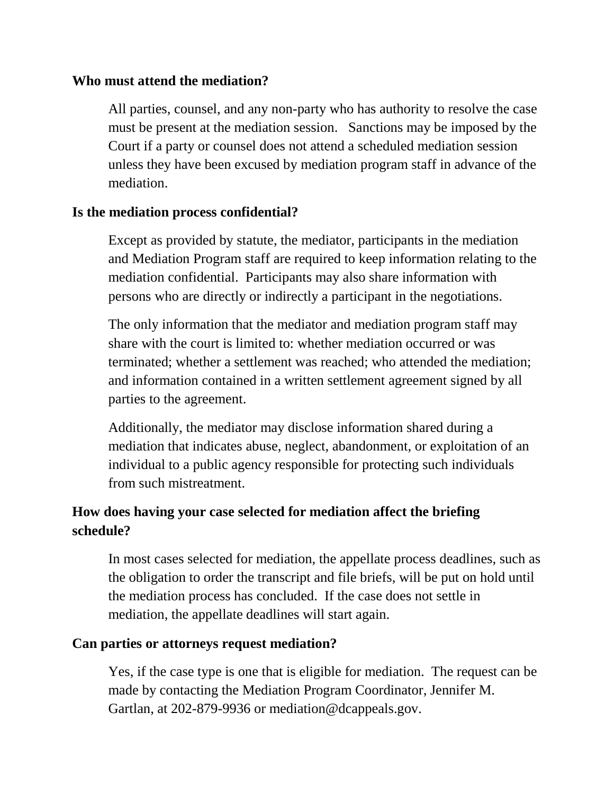#### **Who must attend the mediation?**

All parties, counsel, and any non-party who has authority to resolve the case must be present at the mediation session. Sanctions may be imposed by the Court if a party or counsel does not attend a scheduled mediation session unless they have been excused by mediation program staff in advance of the mediation.

### **Is the mediation process confidential?**

Except as provided by statute, the mediator, participants in the mediation and Mediation Program staff are required to keep information relating to the mediation confidential. Participants may also share information with persons who are directly or indirectly a participant in the negotiations.

The only information that the mediator and mediation program staff may share with the court is limited to: whether mediation occurred or was terminated; whether a settlement was reached; who attended the mediation; and information contained in a written settlement agreement signed by all parties to the agreement.

Additionally, the mediator may disclose information shared during a mediation that indicates abuse, neglect, abandonment, or exploitation of an individual to a public agency responsible for protecting such individuals from such mistreatment.

# **How does having your case selected for mediation affect the briefing schedule?**

In most cases selected for mediation, the appellate process deadlines, such as the obligation to order the transcript and file briefs, will be put on hold until the mediation process has concluded. If the case does not settle in mediation, the appellate deadlines will start again.

### **Can parties or attorneys request mediation?**

Yes, if the case type is one that is eligible for mediation. The request can be made by contacting the Mediation Program Coordinator, Jennifer M. Gartlan, at 202-879-9936 or mediation@dcappeals.gov.